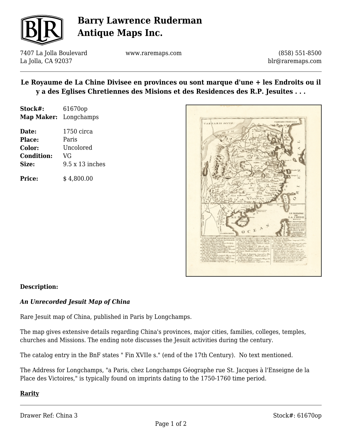

# **Barry Lawrence Ruderman Antique Maps Inc.**

7407 La Jolla Boulevard La Jolla, CA 92037

www.raremaps.com

(858) 551-8500 blr@raremaps.com

## **Le Royaume de La Chine Divisee en provinces ou sont marque d'une + les Endroits ou il y a des Eglises Chretiennes des Misions et des Residences des R.P. Jesuites . . .**

| Stock#:           | 61670op                |
|-------------------|------------------------|
| Map Maker:        | Longchamps             |
| Date:             | $1750 \text{ circa}$   |
| Place:            | Paris                  |
| Color:            | Uncolored              |
| <b>Condition:</b> | VG                     |
| Size:             | $9.5 \times 13$ inches |
|                   |                        |

**Price:**  $$4.800.00$ 



### **Description:**

### *An Unrecorded Jesuit Map of China*

Rare Jesuit map of China, published in Paris by Longchamps.

The map gives extensive details regarding China's provinces, major cities, families, colleges, temples, churches and Missions. The ending note discusses the Jesuit activities during the century.

The catalog entry in the BnF states " Fin XVIIe s." (end of the 17th Century). No text mentioned.

The Address for Longchamps, "a Paris, chez Longchamps Géographe rue St. Jacques à l'Enseigne de la Place des Victoires," is typically found on imprints dating to the 1750-1760 time period.

### **Rarity**